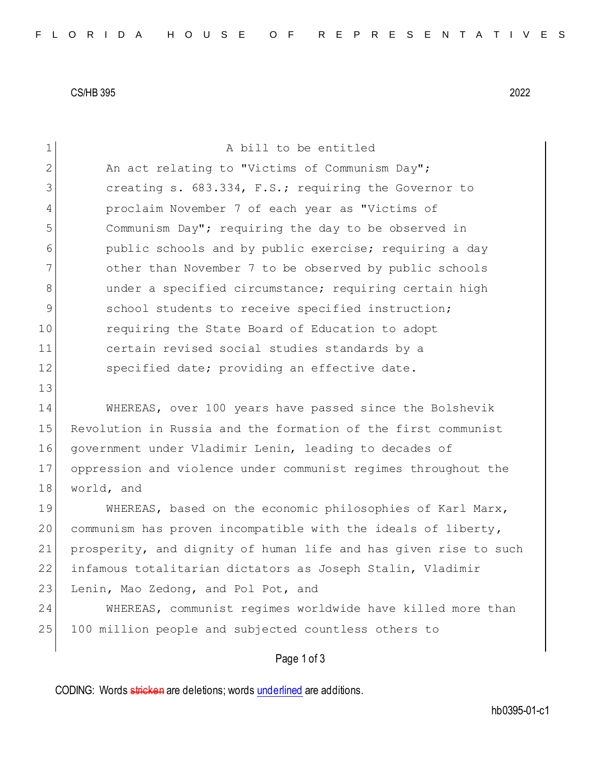CS/HB 395 2022

| $\mathbf 1$    | A bill to be entitled                                            |
|----------------|------------------------------------------------------------------|
| $\mathbf{2}$   | An act relating to "Victims of Communism Day";                   |
| 3              | creating s. 683.334, F.S.; requiring the Governor to             |
| $\overline{4}$ | proclaim November 7 of each year as "Victims of                  |
| 5              | Communism Day"; requiring the day to be observed in              |
| 6              | public schools and by public exercise; requiring a day           |
| $\overline{7}$ | other than November 7 to be observed by public schools           |
| 8              | under a specified circumstance; requiring certain high           |
| 9              | school students to receive specified instruction;                |
| 10             | requiring the State Board of Education to adopt                  |
| 11             | certain revised social studies standards by a                    |
| 12             | specified date; providing an effective date.                     |
| 13             |                                                                  |
| 14             | WHEREAS, over 100 years have passed since the Bolshevik          |
| 15             | Revolution in Russia and the formation of the first communist    |
| 16             | government under Vladimir Lenin, leading to decades of           |
| 17             | oppression and violence under communist regimes throughout the   |
| 18             | world, and                                                       |
| 19             | WHEREAS, based on the economic philosophies of Karl Marx,        |
| 20             | communism has proven incompatible with the ideals of liberty,    |
| 21             | prosperity, and dignity of human life and has given rise to such |
| 22             | infamous totalitarian dictators as Joseph Stalin, Vladimir       |
| 23             | Lenin, Mao Zedong, and Pol Pot, and                              |
| 24             | WHEREAS, communist regimes worldwide have killed more than       |
| 25             | 100 million people and subjected countless others to             |

## Page 1 of 3

CODING: Words stricken are deletions; words underlined are additions.

hb0395-01-c1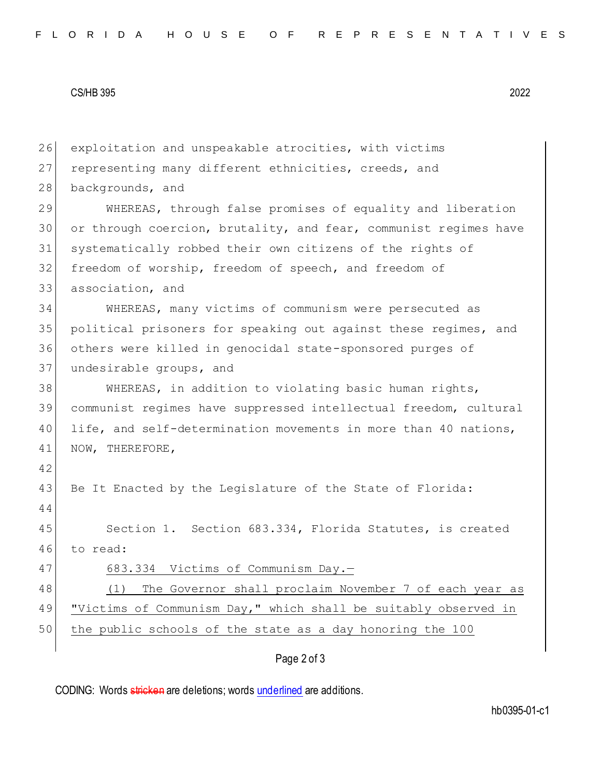## CS/HB 395 2022

26 exploitation and unspeakable atrocities, with victims 27 representing many different ethnicities, creeds, and 28 backgrounds, and 29 WHEREAS, through false promises of equality and liberation 30 or through coercion, brutality, and fear, communist regimes have 31 systematically robbed their own citizens of the rights of 32 freedom of worship, freedom of speech, and freedom of 33 association, and 34 WHEREAS, many victims of communism were persecuted as 35 political prisoners for speaking out against these regimes, and 36 others were killed in genocidal state-sponsored purges of 37 undesirable groups, and 38 WHEREAS, in addition to violating basic human rights, 39 communist regimes have suppressed intellectual freedom, cultural 40 life, and self-determination movements in more than 40 nations, 41 NOW, THEREFORE, 42 43 Be It Enacted by the Legislature of the State of Florida: 44 45 Section 1. Section 683.334, Florida Statutes, is created 46 to read: 47 683.334 Victims of Communism Day.-48 (1) The Governor shall proclaim November 7 of each year as 49 "Victims of Communism Day," which shall be suitably observed in 50 the public schools of the state as a day honoring the 100

Page 2 of 3

CODING: Words stricken are deletions; words underlined are additions.